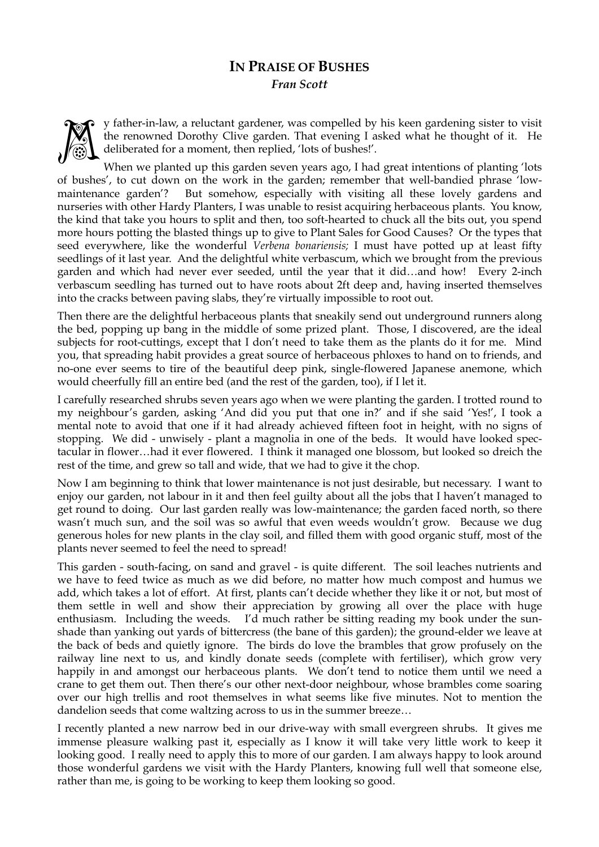## **IN PRAISE OF BUSHES**  *Fran Scott*

y father-in-law, a reluctant gardener, was compelled by his keen gardening sister to visit the renowned Dorothy Clive garden. That evening I asked what he thought of it. He deliberated for a moment, then replied, 'lots of bushes!'.

When we planted up this garden seven years ago, I had great intentions of planting 'lots of bushes', to cut down on the work in the garden; remember that well-bandied phrase 'lowmaintenance garden'? But somehow, especially with visiting all these lovely gardens and nurseries with other Hardy Planters, I was unable to resist acquiring herbaceous plants. You know, the kind that take you hours to split and then, too soft-hearted to chuck all the bits out, you spend more hours potting the blasted things up to give to Plant Sales for Good Causes? Or the types that seed everywhere, like the wonderful *Verbena bonariensis;* I must have potted up at least fifty seedlings of it last year. And the delightful white verbascum, which we brought from the previous garden and which had never ever seeded, until the year that it did…and how! Every 2-inch verbascum seedling has turned out to have roots about 2ft deep and, having inserted themselves into the cracks between paving slabs, they're virtually impossible to root out. M

Then there are the delightful herbaceous plants that sneakily send out underground runners along the bed, popping up bang in the middle of some prized plant. Those, I discovered, are the ideal subjects for root-cuttings, except that I don't need to take them as the plants do it for me. Mind you, that spreading habit provides a great source of herbaceous phloxes to hand on to friends, and no-one ever seems to tire of the beautiful deep pink, single-flowered Japanese anemone*,* which would cheerfully fill an entire bed (and the rest of the garden, too), if I let it.

I carefully researched shrubs seven years ago when we were planting the garden. I trotted round to my neighbour's garden, asking 'And did you put that one in?' and if she said 'Yes!', I took a mental note to avoid that one if it had already achieved fifteen foot in height, with no signs of stopping. We did - unwisely - plant a magnolia in one of the beds. It would have looked spectacular in flower…had it ever flowered. I think it managed one blossom, but looked so dreich the rest of the time, and grew so tall and wide, that we had to give it the chop.

Now I am beginning to think that lower maintenance is not just desirable, but necessary. I want to enjoy our garden, not labour in it and then feel guilty about all the jobs that I haven't managed to get round to doing. Our last garden really was low-maintenance; the garden faced north, so there wasn't much sun, and the soil was so awful that even weeds wouldn't grow. Because we dug generous holes for new plants in the clay soil, and filled them with good organic stuff, most of the plants never seemed to feel the need to spread!

This garden - south-facing, on sand and gravel - is quite different. The soil leaches nutrients and we have to feed twice as much as we did before, no matter how much compost and humus we add, which takes a lot of effort. At first, plants can't decide whether they like it or not, but most of them settle in well and show their appreciation by growing all over the place with huge enthusiasm. Including the weeds. I'd much rather be sitting reading my book under the sunshade than yanking out yards of bittercress (the bane of this garden); the ground-elder we leave at the back of beds and quietly ignore. The birds do love the brambles that grow profusely on the railway line next to us, and kindly donate seeds (complete with fertiliser), which grow very happily in and amongst our herbaceous plants. We don't tend to notice them until we need a crane to get them out. Then there's our other next-door neighbour, whose brambles come soaring over our high trellis and root themselves in what seems like five minutes. Not to mention the dandelion seeds that come waltzing across to us in the summer breeze…

I recently planted a new narrow bed in our drive-way with small evergreen shrubs. It gives me immense pleasure walking past it, especially as I know it will take very little work to keep it looking good. I really need to apply this to more of our garden. I am always happy to look around those wonderful gardens we visit with the Hardy Planters, knowing full well that someone else, rather than me, is going to be working to keep them looking so good.